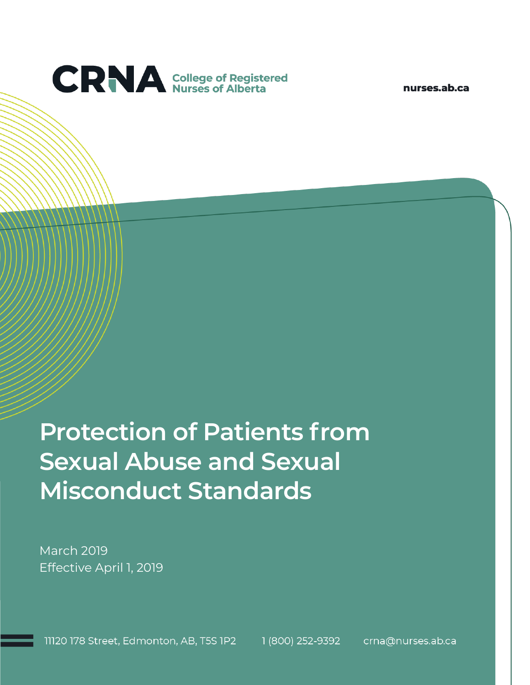

nurses.ab.ca

# **Protection of Patients from Sexual Abuse and Sexual Misconduct Standards**

March 2019 Effective April 1, 2019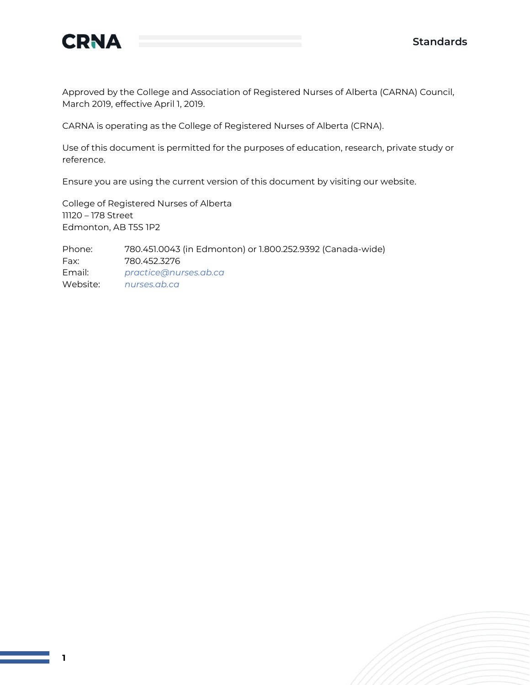

Approved by the College and Association of Registered Nurses of Alberta (CARNA) Council, March 2019, effective April 1, 2019.

CARNA is operating as the College of Registered Nurses of Alberta (CRNA).

Use of this document is permitted for the purposes of education, research, private study or reference.

Ensure you are using the current version of this document by visiting our website.

College of Registered Nurses of Alberta 11120 – 178 Street Edmonton, AB T5S 1P2

Phone: 780.451.0043 (in Edmonton) or 1.800.252.9392 (Canada-wide) Fax: 780.452.3276 Email: *[practice@nurses.ab.ca](mailto:practice@nurses.ab.ca)* Website: *[nurses.ab.ca](http://www.nurses.ab.ca/)*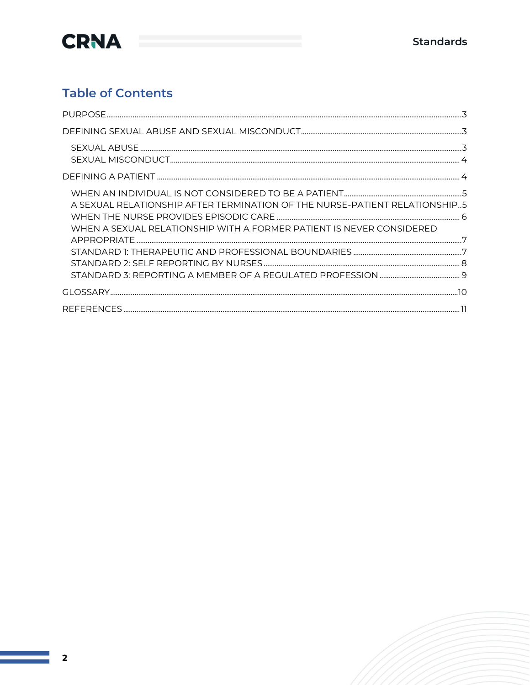

#### **Table of Contents**

| A SEXUAL RELATIONSHIP AFTER TERMINATION OF THE NURSE-PATIENT RELATIONSHIP5<br>WHEN A SEXUAL RELATIONSHIP WITH A FORMER PATIENT IS NEVER CONSIDERED |  |
|----------------------------------------------------------------------------------------------------------------------------------------------------|--|
|                                                                                                                                                    |  |
|                                                                                                                                                    |  |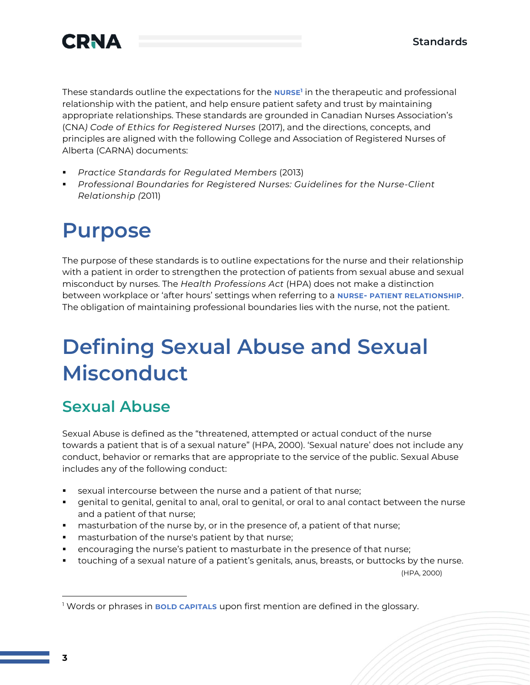

These standards outline the expectations for the **NURSE<sup>1</sup>** in the therapeutic and professional relationship with the patient, and help ensure patient safety and trust by maintaining appropriate relationships. These standards are grounded in Canadian Nurses Association's (CNA*) Code of Ethics for Registered Nurses* (2017), and the directions, concepts, and principles are aligned with the following College and Association of Registered Nurses of Alberta (CARNA) documents:

- *Practice Standards for Regulated Members* (2013)
- *Professional Boundaries for Registered Nurses: Guidelines for the Nurse-Client Relationship (*2011)

## **Purpose**

The purpose of these standards is to outline expectations for the nurse and their relationship with a patient in order to strengthen the protection of patients from sexual abuse and sexual misconduct by nurses. The *Health Professions Act* (HPA) does not make a distinction between workplace or 'after hours' settings when referring to a **NURSE- PATIENT RELATIONSHIP**. The obligation of maintaining professional boundaries lies with the nurse, not the patient.

## **Defining Sexual Abuse and Sexual Misconduct**

### **Sexual Abuse**

Sexual Abuse is defined as the "threatened, attempted or actual conduct of the nurse towards a patient that is of a sexual nature" (HPA, 2000). 'Sexual nature' does not include any conduct, behavior or remarks that are appropriate to the service of the public. Sexual Abuse includes any of the following conduct:

- sexual intercourse between the nurse and a patient of that nurse;
- genital to genital, genital to anal, oral to genital, or oral to anal contact between the nurse and a patient of that nurse;
- masturbation of the nurse by, or in the presence of, a patient of that nurse;
- masturbation of the nurse's patient by that nurse;
- encouraging the nurse's patient to masturbate in the presence of that nurse;
- touching of a sexual nature of a patient's genitals, anus, breasts, or buttocks by the nurse.

(HPA, 2000)

<sup>1</sup> Words or phrases in **BOLD CAPITALS** upon first mention are defined in the glossary.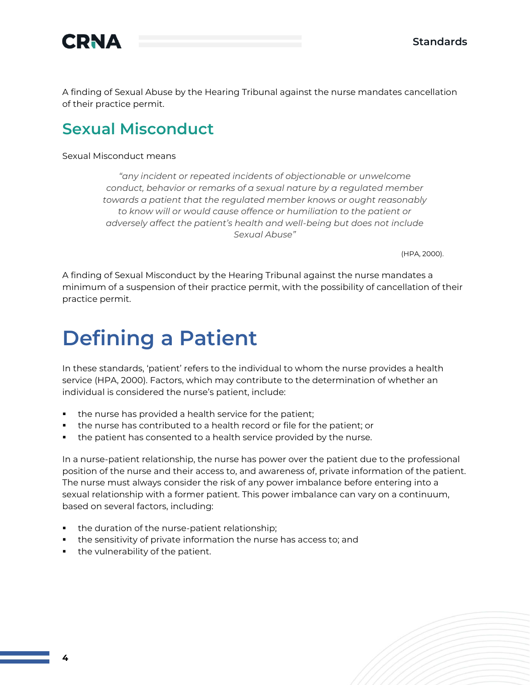

A finding of Sexual Abuse by the Hearing Tribunal against the nurse mandates cancellation of their practice permit.

#### **Sexual Misconduct**

#### Sexual Misconduct means

*"any incident or repeated incidents of objectionable or unwelcome conduct, behavior or remarks of a sexual nature by a regulated member towards a patient that the regulated member knows or ought reasonably to know will or would cause offence or humiliation to the patient or adversely affect the patient's health and well-being but does not include Sexual Abuse"* 

(HPA, 2000).

A finding of Sexual Misconduct by the Hearing Tribunal against the nurse mandates a minimum of a suspension of their practice permit, with the possibility of cancellation of their practice permit.

## **Defining a Patient**

In these standards, 'patient' refers to the individual to whom the nurse provides a health service (HPA, 2000). Factors, which may contribute to the determination of whether an individual is considered the nurse's patient, include:

- the nurse has provided a health service for the patient;
- the nurse has contributed to a health record or file for the patient; or
- the patient has consented to a health service provided by the nurse.

In a nurse-patient relationship, the nurse has power over the patient due to the professional position of the nurse and their access to, and awareness of, private information of the patient. The nurse must always consider the risk of any power imbalance before entering into a sexual relationship with a former patient. This power imbalance can vary on a continuum, based on several factors, including:

- **•** the duration of the nurse-patient relationship;
- the sensitivity of private information the nurse has access to; and
- the vulnerability of the patient.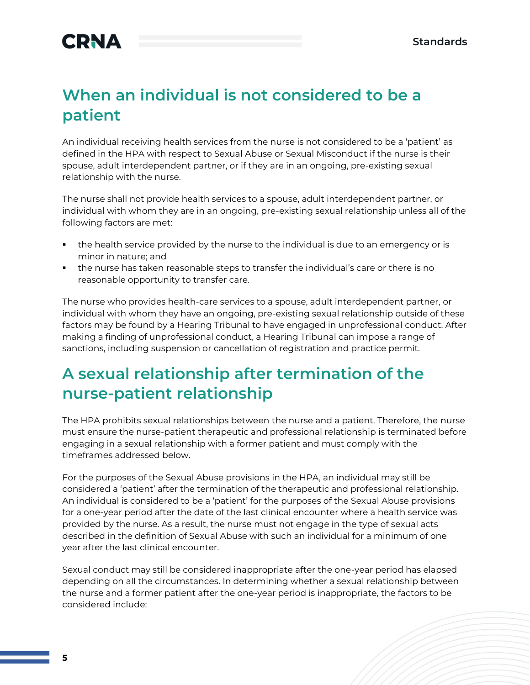### **When an individual is not considered to be a patient**

An individual receiving health services from the nurse is not considered to be a 'patient' as defined in the HPA with respect to Sexual Abuse or Sexual Misconduct if the nurse is their spouse, adult interdependent partner, or if they are in an ongoing, pre-existing sexual relationship with the nurse.

The nurse shall not provide health services to a spouse, adult interdependent partner, or individual with whom they are in an ongoing, pre-existing sexual relationship unless all of the following factors are met:

- the health service provided by the nurse to the individual is due to an emergency or is minor in nature; and
- the nurse has taken reasonable steps to transfer the individual's care or there is no reasonable opportunity to transfer care.

The nurse who provides health-care services to a spouse, adult interdependent partner, or individual with whom they have an ongoing, pre-existing sexual relationship outside of these factors may be found by a Hearing Tribunal to have engaged in unprofessional conduct. After making a finding of unprofessional conduct, a Hearing Tribunal can impose a range of sanctions, including suspension or cancellation of registration and practice permit.

### **A sexual relationship after termination of the nurse-patient relationship**

The HPA prohibits sexual relationships between the nurse and a patient. Therefore, the nurse must ensure the nurse-patient therapeutic and professional relationship is terminated before engaging in a sexual relationship with a former patient and must comply with the timeframes addressed below.

For the purposes of the Sexual Abuse provisions in the HPA, an individual may still be considered a 'patient' after the termination of the therapeutic and professional relationship. An individual is considered to be a 'patient' for the purposes of the Sexual Abuse provisions for a one-year period after the date of the last clinical encounter where a health service was provided by the nurse. As a result, the nurse must not engage in the type of sexual acts described in the definition of Sexual Abuse with such an individual for a minimum of one year after the last clinical encounter.

Sexual conduct may still be considered inappropriate after the one-year period has elapsed depending on all the circumstances. In determining whether a sexual relationship between the nurse and a former patient after the one-year period is inappropriate, the factors to be considered include: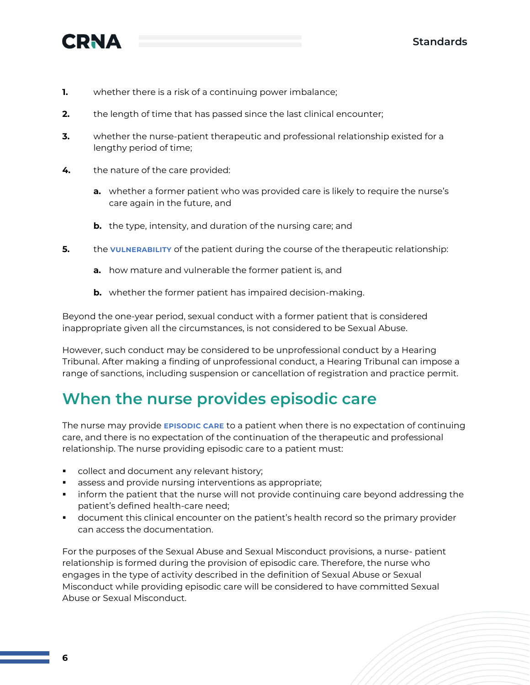



- **1.** whether there is a risk of a continuing power imbalance;
- **2.** the length of time that has passed since the last clinical encounter;
- **3.** whether the nurse-patient therapeutic and professional relationship existed for a lengthy period of time;
- **4.** the nature of the care provided:
	- **a.** whether a former patient who was provided care is likely to require the nurse's care again in the future, and
	- **b.** the type, intensity, and duration of the nursing care; and
- **5.** the **VULNERABILITY** of the patient during the course of the therapeutic relationship:
	- **a.** how mature and vulnerable the former patient is, and
	- **b.** whether the former patient has impaired decision-making.

Beyond the one-year period, sexual conduct with a former patient that is considered inappropriate given all the circumstances, is not considered to be Sexual Abuse.

However, such conduct may be considered to be unprofessional conduct by a Hearing Tribunal. After making a finding of unprofessional conduct, a Hearing Tribunal can impose a range of sanctions, including suspension or cancellation of registration and practice permit.

#### **When the nurse provides episodic care**

The nurse may provide **EPISODIC CARE** to a patient when there is no expectation of continuing care, and there is no expectation of the continuation of the therapeutic and professional relationship. The nurse providing episodic care to a patient must:

- collect and document any relevant history;
- assess and provide nursing interventions as appropriate;
- **•** inform the patient that the nurse will not provide continuing care beyond addressing the patient's defined health-care need;
- **•** document this clinical encounter on the patient's health record so the primary provider can access the documentation.

For the purposes of the Sexual Abuse and Sexual Misconduct provisions, a nurse- patient relationship is formed during the provision of episodic care. Therefore, the nurse who engages in the type of activity described in the definition of Sexual Abuse or Sexual Misconduct while providing episodic care will be considered to have committed Sexual Abuse or Sexual Misconduct.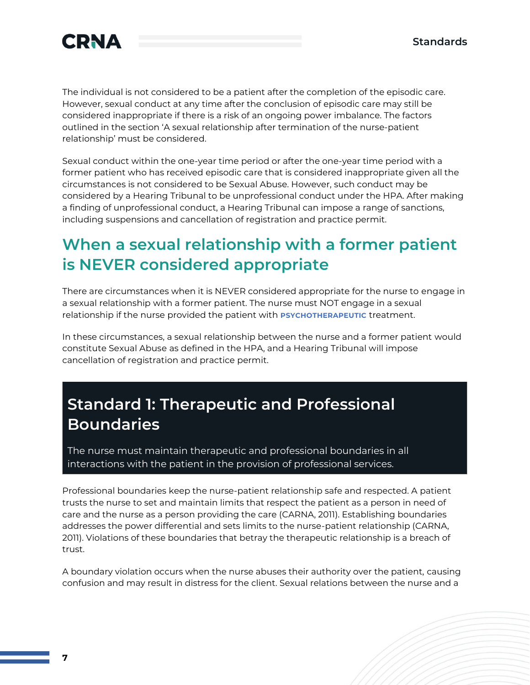

The individual is not considered to be a patient after the completion of the episodic care. However, sexual conduct at any time after the conclusion of episodic care may still be considered inappropriate if there is a risk of an ongoing power imbalance. The factors outlined in the section 'A sexual relationship after termination of the nurse-patient relationship' must be considered.

Sexual conduct within the one-year time period or after the one-year time period with a former patient who has received episodic care that is considered inappropriate given all the circumstances is not considered to be Sexual Abuse. However, such conduct may be considered by a Hearing Tribunal to be unprofessional conduct under the HPA. After making a finding of unprofessional conduct, a Hearing Tribunal can impose a range of sanctions, including suspensions and cancellation of registration and practice permit.

### **When a sexual relationship with a former patient is NEVER considered appropriate**

There are circumstances when it is NEVER considered appropriate for the nurse to engage in a sexual relationship with a former patient. The nurse must NOT engage in a sexual relationship if the nurse provided the patient with **PSYCHOTHERAPEUTIC** treatment.

In these circumstances, a sexual relationship between the nurse and a former patient would constitute Sexual Abuse as defined in the HPA, and a Hearing Tribunal will impose cancellation of registration and practice permit.

### **Standard 1: Therapeutic and Professional Boundaries**

The nurse must maintain therapeutic and professional boundaries in all interactions with the patient in the provision of professional services.

Professional boundaries keep the nurse-patient relationship safe and respected. A patient trusts the nurse to set and maintain limits that respect the patient as a person in need of care and the nurse as a person providing the care (CARNA, 2011). Establishing boundaries addresses the power differential and sets limits to the nurse-patient relationship (CARNA, 2011). Violations of these boundaries that betray the therapeutic relationship is a breach of trust.

A boundary violation occurs when the nurse abuses their authority over the patient, causing confusion and may result in distress for the client. Sexual relations between the nurse and a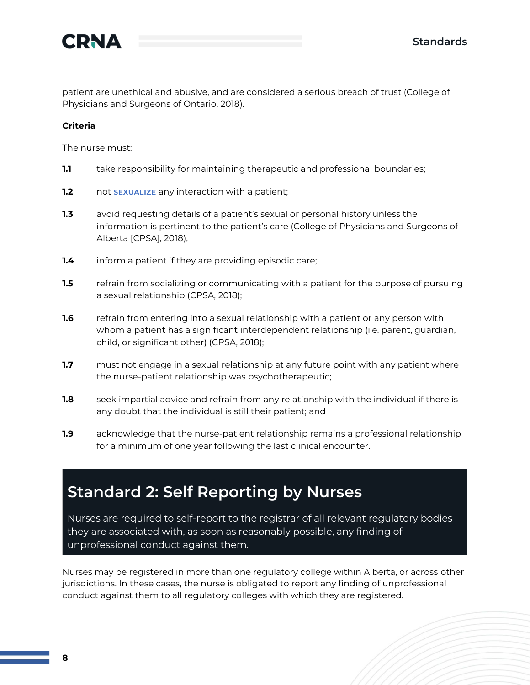

patient are unethical and abusive, and are considered a serious breach of trust (College of Physicians and Surgeons of Ontario, 2018).

#### **Criteria**

The nurse must:

- **1.1** take responsibility for maintaining therapeutic and professional boundaries;
- **1.2** not **SEXUALIZE** any interaction with a patient;
- **1.3** avoid requesting details of a patient's sexual or personal history unless the information is pertinent to the patient's care (College of Physicians and Surgeons of Alberta [CPSA], 2018);
- **1.4** inform a patient if they are providing episodic care;
- **1.5** refrain from socializing or communicating with a patient for the purpose of pursuing a sexual relationship (CPSA, 2018);
- **1.6** refrain from entering into a sexual relationship with a patient or any person with whom a patient has a significant interdependent relationship (i.e. parent, guardian, child, or significant other) (CPSA, 2018);
- **1.7** must not engage in a sexual relationship at any future point with any patient where the nurse-patient relationship was psychotherapeutic;
- **1.8** seek impartial advice and refrain from any relationship with the individual if there is any doubt that the individual is still their patient; and
- **1.9** acknowledge that the nurse-patient relationship remains a professional relationship for a minimum of one year following the last clinical encounter.

#### **Standard 2: Self Reporting by Nurses**

Nurses are required to self-report to the registrar of all relevant regulatory bodies they are associated with, as soon as reasonably possible, any finding of unprofessional conduct against them.

Nurses may be registered in more than one regulatory college within Alberta, or across other jurisdictions. In these cases, the nurse is obligated to report any finding of unprofessional conduct against them to all regulatory colleges with which they are registered.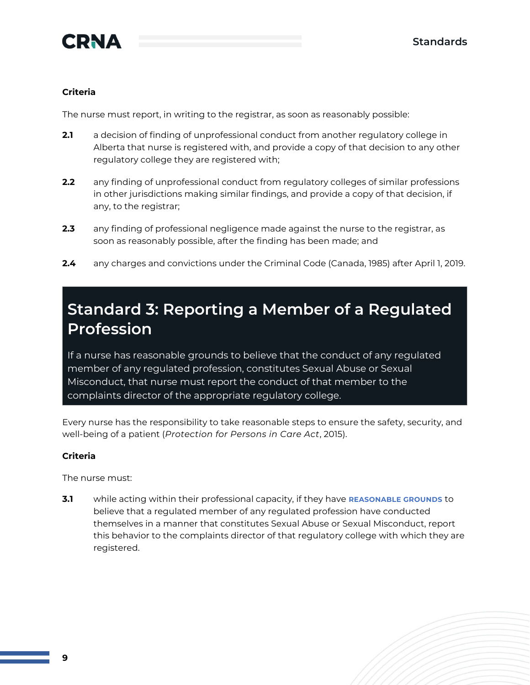

#### **Criteria**

The nurse must report, in writing to the registrar, as soon as reasonably possible:

- **2.1** a decision of finding of unprofessional conduct from another regulatory college in Alberta that nurse is registered with, and provide a copy of that decision to any other regulatory college they are registered with;
- **2.2** any finding of unprofessional conduct from regulatory colleges of similar professions in other jurisdictions making similar findings, and provide a copy of that decision, if any, to the registrar;
- **2.3** any finding of professional negligence made against the nurse to the registrar, as soon as reasonably possible, after the finding has been made; and
- **2.4** any charges and convictions under the Criminal Code (Canada, 1985) after April 1, 2019.

### **Standard 3: Reporting a Member of a Regulated Profession**

If a nurse has reasonable grounds to believe that the conduct of any regulated member of any regulated profession, constitutes Sexual Abuse or Sexual Misconduct, that nurse must report the conduct of that member to the complaints director of the appropriate regulatory college.

Every nurse has the responsibility to take reasonable steps to ensure the safety, security, and well-being of a patient (*Protection for Persons in Care Act*, 2015).

#### **Criteria**

The nurse must:

**3.1** while acting within their professional capacity, if they have **REASONABLE GROUNDS** to believe that a regulated member of any regulated profession have conducted themselves in a manner that constitutes Sexual Abuse or Sexual Misconduct, report this behavior to the complaints director of that regulatory college with which they are registered.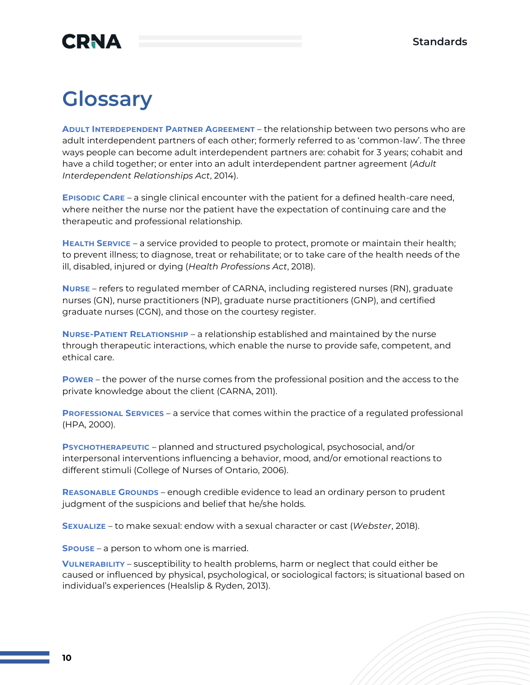## **CRNA**

## **Glossary**

**ADULT INTERDEPENDENT PARTNER AGREEMENT** – the relationship between two persons who are adult interdependent partners of each other; formerly referred to as 'common-law'. The three ways people can become adult interdependent partners are: cohabit for 3 years; cohabit and have a child together; or enter into an adult interdependent partner agreement (*Adult Interdependent Relationships Act*, 2014).

**EPISODIC CARE** – a single clinical encounter with the patient for a defined health-care need, where neither the nurse nor the patient have the expectation of continuing care and the therapeutic and professional relationship.

**HEALTH SERVICE** – a service provided to people to protect, promote or maintain their health; to prevent illness; to diagnose, treat or rehabilitate; or to take care of the health needs of the ill, disabled, injured or dying (*Health Professions Act*, 2018).

**NURSE** – refers to regulated member of CARNA, including registered nurses (RN), graduate nurses (GN), nurse practitioners (NP), graduate nurse practitioners (GNP), and certified graduate nurses (CGN), and those on the courtesy register.

**NURSE-PATIENT RELATIONSHIP** – a relationship established and maintained by the nurse through therapeutic interactions, which enable the nurse to provide safe, competent, and ethical care.

**POWER** – the power of the nurse comes from the professional position and the access to the private knowledge about the client (CARNA, 2011).

**PROFESSIONAL SERVICES** – a service that comes within the practice of a regulated professional (HPA, 2000).

**PSYCHOTHERAPEUTIC** – planned and structured psychological, psychosocial, and/or interpersonal interventions influencing a behavior, mood, and/or emotional reactions to different stimuli (College of Nurses of Ontario, 2006).

**REASONABLE GROUNDS** – enough credible evidence to lead an ordinary person to prudent judgment of the suspicions and belief that he/she holds.

**SEXUALIZE** – to make sexual: endow with a sexual character or cast (*Webster*, 2018).

**SPOUSE** – a person to whom one is married.

**VULNERABILITY** – susceptibility to health problems, harm or neglect that could either be caused or influenced by physical, psychological, or sociological factors; is situational based on individual's experiences (Healslip & Ryden, 2013).